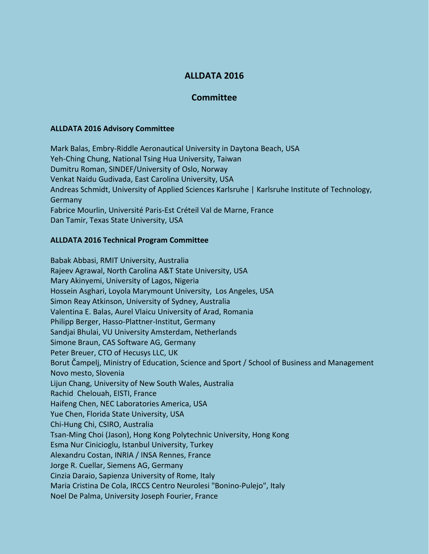# **ALLDATA 2016**

## **Committee**

#### **ALLDATA 2016 Advisory Committee**

Mark Balas, Embry-Riddle Aeronautical University in Daytona Beach, USA Yeh-Ching Chung, National Tsing Hua University, Taiwan Dumitru Roman, SINDEF/University of Oslo, Norway Venkat Naidu Gudivada, East Carolina University, USA Andreas Schmidt, University of Applied Sciences Karlsruhe | Karlsruhe Institute of Technology, Germany Fabrice Mourlin, Université Paris-Est Créteil Val de Marne, France Dan Tamir, Texas State University, USA

## **ALLDATA 2016 Technical Program Committee**

Babak Abbasi, RMIT University, Australia Rajeev Agrawal, North Carolina A&T State University, USA Mary Akinyemi, University of Lagos, Nigeria Hossein Asghari, Loyola Marymount University, Los Angeles, USA Simon Reay Atkinson, University of Sydney, Australia Valentina E. Balas, Aurel Vlaicu University of Arad, Romania Philipp Berger, Hasso-Plattner-Institut, Germany Sandjai Bhulai, VU University Amsterdam, Netherlands Simone Braun, CAS Software AG, Germany Peter Breuer, CTO of Hecusys LLC, UK Borut Čampelj, Ministry of Education, Science and Sport / School of Business and Management Novo mesto, Slovenia Lijun Chang, University of New South Wales, Australia Rachid Chelouah, EISTI, France Haifeng Chen, NEC Laboratories America, USA Yue Chen, Florida State University, USA Chi-Hung Chi, CSIRO, Australia Tsan-Ming Choi (Jason), Hong Kong Polytechnic University, Hong Kong Esma Nur Cinicioglu, Istanbul University, Turkey Alexandru Costan, INRIA / INSA Rennes, France Jorge R. Cuellar, Siemens AG, Germany Cinzia Daraio, Sapienza University of Rome, Italy Maria Cristina De Cola, IRCCS Centro Neurolesi "Bonino-Pulejo", Italy Noel De Palma, University Joseph Fourier, France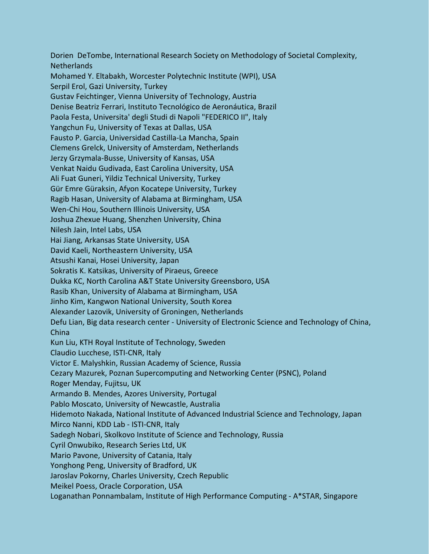Dorien DeTombe, International Research Society on Methodology of Societal Complexity, Netherlands Mohamed Y. Eltabakh, Worcester Polytechnic Institute (WPI), USA Serpil Erol, Gazi University, Turkey Gustav Feichtinger, Vienna University of Technology, Austria Denise Beatriz Ferrari, Instituto Tecnológico de Aeronáutica, Brazil Paola Festa, Universita' degli Studi di Napoli "FEDERICO II", Italy Yangchun Fu, University of Texas at Dallas, USA Fausto P. Garcia, Universidad Castilla-La Mancha, Spain Clemens Grelck, University of Amsterdam, Netherlands Jerzy Grzymala-Busse, University of Kansas, USA Venkat Naidu Gudivada, East Carolina University, USA Ali Fuat Guneri, Yildiz Technical University, Turkey Gür Emre Güraksin, Afyon Kocatepe University, Turkey Ragib Hasan, University of Alabama at Birmingham, USA Wen-Chi Hou, Southern Illinois University, USA Joshua Zhexue Huang, Shenzhen University, China Nilesh Jain, Intel Labs, USA Hai Jiang, Arkansas State University, USA David Kaeli, Northeastern University, USA Atsushi Kanai, Hosei University, Japan Sokratis K. Katsikas, University of Piraeus, Greece Dukka KC, North Carolina A&T State University Greensboro, USA Rasib Khan, University of Alabama at Birmingham, USA Jinho Kim, Kangwon National University, South Korea Alexander Lazovik, University of Groningen, Netherlands Defu Lian, Big data research center - University of Electronic Science and Technology of China, China Kun Liu, KTH Royal Institute of Technology, Sweden Claudio Lucchese, ISTI-CNR, Italy Victor E. Malyshkin, Russian Academy of Science, Russia Cezary Mazurek, Poznan Supercomputing and Networking Center (PSNC), Poland Roger Menday, Fujitsu, UK Armando B. Mendes, Azores University, Portugal Pablo Moscato, University of Newcastle, Australia Hidemoto Nakada, National Institute of Advanced Industrial Science and Technology, Japan Mirco Nanni, KDD Lab - ISTI-CNR, Italy Sadegh Nobari, Skolkovo Institute of Science and Technology, Russia Cyril Onwubiko, Research Series Ltd, UK Mario Pavone, University of Catania, Italy Yonghong Peng, University of Bradford, UK Jaroslav Pokorny, Charles University, Czech Republic Meikel Poess, Oracle Corporation, USA Loganathan Ponnambalam, Institute of High Performance Computing - A\*STAR, Singapore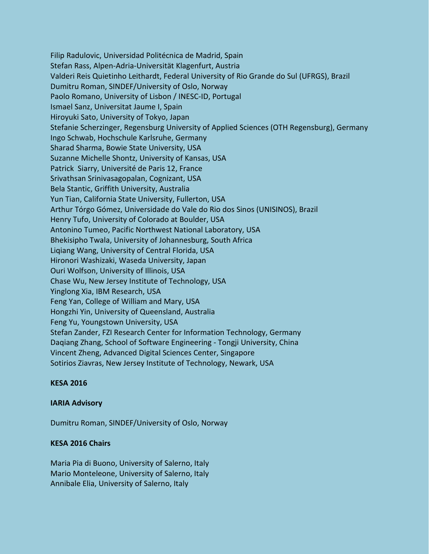Filip Radulovic, Universidad Politécnica de Madrid, Spain Stefan Rass, Alpen-Adria-Universität Klagenfurt, Austria Valderi Reis Quietinho Leithardt, Federal University of Rio Grande do Sul (UFRGS), Brazil Dumitru Roman, SINDEF/University of Oslo, Norway Paolo Romano, University of Lisbon / INESC-ID, Portugal Ismael Sanz, Universitat Jaume I, Spain Hiroyuki Sato, University of Tokyo, Japan Stefanie Scherzinger, Regensburg University of Applied Sciences (OTH Regensburg), Germany Ingo Schwab, Hochschule Karlsruhe, Germany Sharad Sharma, Bowie State University, USA Suzanne Michelle Shontz, University of Kansas, USA Patrick Siarry, Université de Paris 12, France Srivathsan Srinivasagopalan, Cognizant, USA Bela Stantic, Griffith University, Australia Yun Tian, California State University, Fullerton, USA Arthur Tórgo Gómez, Universidade do Vale do Rio dos Sinos (UNISINOS), Brazil Henry Tufo, University of Colorado at Boulder, USA Antonino Tumeo, Pacific Northwest National Laboratory, USA Bhekisipho Twala, University of Johannesburg, South Africa Liqiang Wang, University of Central Florida, USA Hironori Washizaki, Waseda University, Japan Ouri Wolfson, University of Illinois, USA Chase Wu, New Jersey Institute of Technology, USA Yinglong Xia, IBM Research, USA Feng Yan, College of William and Mary, USA Hongzhi Yin, University of Queensland, Australia Feng Yu, Youngstown University, USA Stefan Zander, FZI Research Center for Information Technology, Germany Daqiang Zhang, School of Software Engineering - Tongji University, China Vincent Zheng, Advanced Digital Sciences Center, Singapore Sotirios Ziavras, New Jersey Institute of Technology, Newark, USA

### **KESA 2016**

#### **IARIA Advisory**

Dumitru Roman, SINDEF/University of Oslo, Norway

#### **KESA 2016 Chairs**

Maria Pia di Buono, University of Salerno, Italy Mario Monteleone, University of Salerno, Italy Annibale Elia, University of Salerno, Italy